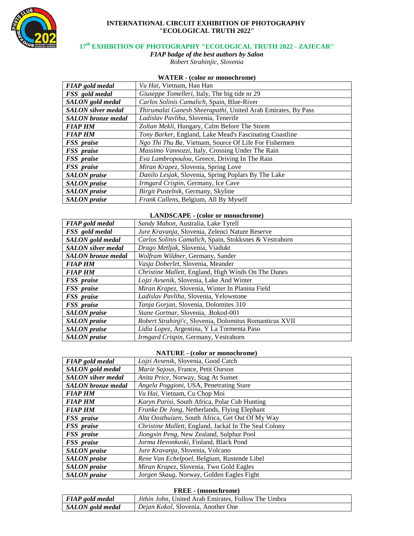

### **INTERNATIONAL CIRCUIT EXHIBITION OF PHOTOGRAPHY "ECOLOGICAL TRUTH 2022"**

# **17th EXHIBITION OF PHOTOGRAPHY "ECOLOGICAL TRUTH 2022 - ZAJECAR"**

*FIAP badge of the best authors by Salon Robert Strahinjic, Slovenia*

### **WATER - (color or monochrome)**

| <b>FIAP</b> gold medal    | Vu Hai, Vietnam, Han Han                                     |
|---------------------------|--------------------------------------------------------------|
| FSS gold medal            | Giuseppe Tomelleri, Italy, The big tide nr 29                |
| <b>SALON</b> gold medal   | Carlos Solinis Camalich, Spain, Blue-River                   |
| <b>SALON</b> silver medal | Thirumalai Ganesh Sheerapathi, United Arab Emirates, By Pass |
| <b>SALON</b> bronze medal | Ladislav Pavliha, Slovenia, Tenerife                         |
| <b>FIAP HM</b>            | Zoltan Mekli, Hungary, Calm Before The Storm                 |
| <b>FIAP HM</b>            | Tony Barker, England, Lake Mead's Fascinating Coastline      |
| FSS praise                | Ngo Thi Thu Ba, Vietnam, Source Of Life For Fishermen        |
| FSS praise                | Massimo Vannozzi, Italy, Crossing Under The Rain             |
| FSS praise                | Eva Lambropoulou, Greece, Driving In The Rain                |
| FSS praise                | Miran Krapez, Slovenia, Spring Love                          |
| <b>SALON</b> praise       | Danilo Lesjak, Slovenia, Spring Poplars By The Lake          |
| <b>SALON</b> praise       | Irmgard Crispin, Germany, Ice Cave                           |
| <b>SALON</b> praise       | Birgit Pustelnik, Germany, Skyline                           |
| <b>SALON</b> praise       | Frank Callens, Belgium, All By Myself                        |

#### **LANDSCAPE - (color or monochrome)**

| <b>FIAP</b> gold medal    | Sandy Mahon, Australia, Lake Tyrell                     |
|---------------------------|---------------------------------------------------------|
| FSS gold medal            | Jure Kravanja, Slovenia, Zelenci Nature Reserve         |
| <b>SALON</b> gold medal   | Carlos Solinis Camalich, Spain, Stokksnes & Vestrahorn  |
| <b>SALON</b> silver medal | Drago Metljak, Slovenia, Viadukt                        |
| <b>SALON</b> bronze medal | Wolfram Wildner, Germany, Sander                        |
| <b>FIAP HM</b>            | Vasja Doberlet, Slovenia, Meander                       |
| <b>FIAP HM</b>            | Christine Mallett, England, High Winds On The Dunes     |
| FSS praise                | Lojzi Avsenik, Slovenia, Lake And Winter                |
| FSS praise                | Miran Krapez, Slovenia, Winter In Planina Field         |
| FSS praise                | Ladislav Pavliha, Slovenia, Yelowstone                  |
| FSS praise                | Tanja Gorjan, Slovenia, Dolomites 310                   |
| <b>SALON</b> praise       | Stane Gortnar, Slovenia, .Bokod-001                     |
| <b>SALON</b> praise       | Robert Strahinji'c, Slovenia, Dolomitus Romanticus XVII |
| <b>SALON</b> praise       | Lidia Lopez, Argentina, Y La Tormenta Paso              |
| <b>SALON</b> praise       | Irmgard Crispin, Germany, Vestrahorn                    |

#### **NATURE - (color or monochrome)**

| <b>FIAP</b> gold medal    | Lojzi Avsenik, Slovenia, Good Catch                   |
|---------------------------|-------------------------------------------------------|
| SALON gold medal          | Marie Sajous, France, Petit Ourson                    |
| <b>SALON</b> silver medal | Anita Price, Norway, Stag At Sunset                   |
| <b>SALON</b> bronze medal | Angela Poggioni, USA, Penetrating Stare               |
| <b>FIAP HM</b>            | Vu Hai, Vietnam, Cu Chop Moi                          |
| <b>FIAP HM</b>            | Karyn Parisi, South Africa, Polar Cub Hunting         |
| <b>FIAP HM</b>            | Franke De Jong, Netherlands, Flying Elephant          |
| <b>FSS</b> <i>praise</i>  | Alta Oosthuizen, South Africa, Get Out Of My Way      |
| FSS praise                | Christine Mallett, England, Jackal In The Seal Colony |
| <b>FSS</b> <i>praise</i>  | Jiongxin Peng, New Zealand, Sulphur Pool              |
| FSS praise                | Jorma Hevonkoski, Finland, Black Pond                 |
| <b>SALON</b> praise       | Jure Kravanja, Slovenia, Volcano                      |
| <b>SALON</b> praise       | Rene Van Echelpoel, Belgium, Rustende Libel           |
| <b>SALON</b> praise       | Miran Krapez, Slovenia, Two Gold Eagles               |
| <b>SALON</b> praise       | Jorgen Skaug, Norway, Golden Eagles Fight             |

#### **FREE - (monochrome)**

| <b>FIAP</b> gold medal  | <i>Jithin John</i> , United Arab Emirates, Follow The Umbra |
|-------------------------|-------------------------------------------------------------|
| <b>SALON</b> gold medal | <i>Dejan Kokol, Slovenia, Another One</i>                   |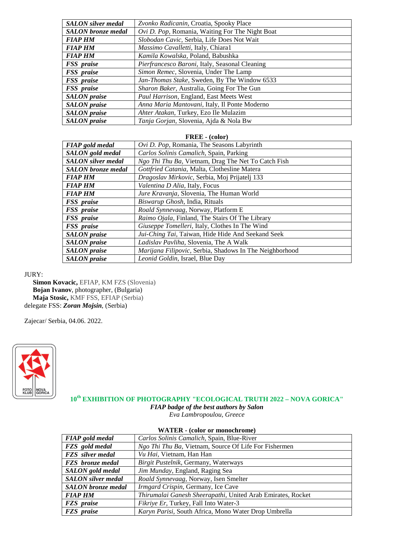| <b>SALON</b> silver medal | Zvonko Radicanin, Croatia, Spooky Place           |
|---------------------------|---------------------------------------------------|
| <b>SALON</b> bronze medal | Ovi D. Pop, Romania, Waiting For The Night Boat   |
| <b>FIAP HM</b>            | Slobodan Cavic, Serbia, Life Does Not Wait        |
| <b>FIAP HM</b>            | Massimo Cavalletti, Italy, Chiara1                |
| <b>FIAP HM</b>            | Kamila Kowalska, Poland, Babushka                 |
| FSS praise                | Pierfrancesco Baroni, Italy, Seasonal Cleaning    |
| FSS praise                | Simon Remec, Slovenia, Under The Lamp             |
| FSS praise                | Jan-Thomas Stake, Sweden, By The Window 6533      |
| FSS praise                | <i>Sharon Baker, Australia, Going For The Gun</i> |
| <b>SALON</b> praise       | Paul Harrison, England, East Meets West           |
| <b>SALON</b> praise       | Anna Maria Mantovani, Italy, Il Ponte Moderno     |
| <b>SALON</b> praise       | Ahter Atakan, Turkey, Ezo Ile Mulazim             |
| <b>SALON</b> praise       | Tanja Gorjan, Slovenia, Ajda & Nola Bw            |

#### **FREE - (color)**

| <b>FIAP</b> gold medal    | Ovi D. Pop, Romania, The Seasons Labyrinth              |
|---------------------------|---------------------------------------------------------|
| SALON gold medal          | Carlos Solinis Camalich, Spain, Parking                 |
| <b>SALON</b> silver medal | Ngo Thi Thu Ba, Vietnam, Drag The Net To Catch Fish     |
| <b>SALON</b> bronze medal | Gottfried Catania, Malta, Clothesline Matera            |
| <b>FIAP HM</b>            | Dragoslav Mirkovic, Serbia, Moj Prijatelj 133           |
| <b>FIAP HM</b>            | Valentina D Alia, Italy, Focus                          |
| <b>FIAP HM</b>            | Jure Kravanja, Slovenia, The Human World                |
| FSS praise                | Biswarup Ghosh, India, Rituals                          |
| FSS praise                | Roald Synnevaag, Norway, Platform E                     |
| FSS praise                | Raimo Ojala, Finland, The Stairs Of The Library         |
| FSS praise                | Giuseppe Tomelleri, Italy, Clothes In The Wind          |
| <b>SALON</b> praise       | Jui-Ching Tai, Taiwan, Hide Hide And Seekand Seek       |
| <b>SALON</b> praise       | Ladislav Pavliha, Slovenia, The A Walk                  |
| <b>SALON</b> praise       | Marijana Filipovic, Serbia, Shadows In The Neighborhood |
| <b>SALON</b> praise       | <i>Leonid Goldin</i> , Israel, Blue Day                 |

### JURY:

 **Simon Kovacic,** EFIAP, KM FZS (Slovenia) **Bojan Ivanov**, photographer, (Bulgaria) **Maja Stosic,** KMF FSS, EFIAP (Serbia) delegate FSS: *Zoran Mojsin*, (Serbia)

Zajecar/ Serbia, 04.06. 2022.



**10th EXHIBITION OF PHOTOGRAPHY "ECOLOGICAL TRUTH 2022 – NOVA GORICA"**

*FIAP badge of the best authors by Salon*

*Eva Lambropoulou, Greece*

| <u>WALDA WOOD OF HOROCHI OMO</u> |                                                             |
|----------------------------------|-------------------------------------------------------------|
| <b>FIAP</b> gold medal           | Carlos Solinis Camalich, Spain, Blue-River                  |
| FZS gold medal                   | Ngo Thi Thu Ba, Vietnam, Source Of Life For Fishermen       |
| <b>FZS</b> silver medal          | Vu Hai, Vietnam, Han Han                                    |
| <b>FZS</b> bronze medal          | Birgit Pustelnik, Germany, Waterways                        |
| SALON gold medal                 | Jim Munday, England, Raging Sea                             |
| <b>SALON</b> silver medal        | Roald Synnevaag, Norway, Isen Smelter                       |
| <b>SALON</b> bronze medal        | Irmgard Crispin, Germany, Ice Cave                          |
| <b>FIAP HM</b>                   | Thirumalai Ganesh Sheerapathi, United Arab Emirates, Rocket |
| <b>FZS</b> praise                | Fikriye Er, Turkey, Fall Into Water-3                       |
| <b>FZS</b> praise                | Karyn Parisi, South Africa, Mono Water Drop Umbrella        |

# **WATER - (color or monochrome)**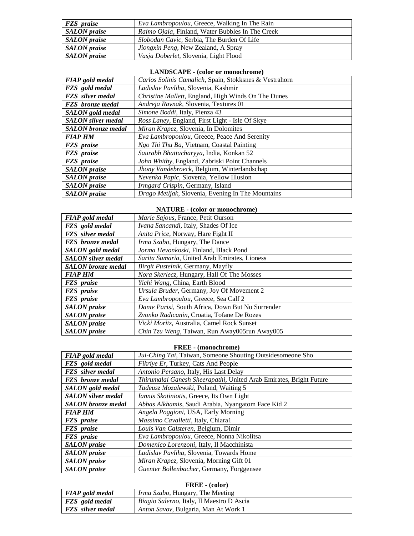| <b>FZS</b> praise   | <i>Eva Lambropoulou</i> , Greece, Walking In The Rain    |
|---------------------|----------------------------------------------------------|
| <b>SALON</b> praise | <i>Raimo Ojala</i> , Finland, Water Bubbles In The Creek |
| <b>SALON</b> praise | <i>Slobodan Cavic</i> , Serbia, The Burden Of Life       |
| <b>SALON</b> praise | Jiongxin Peng, New Zealand, A Spray                      |
| <b>SALON</b> praise | Vasja Doberlet, Slovenia, Light Flood                    |

# **LANDSCAPE - (color or monochrome)**

| <b>FIAP</b> gold medal    | Carlos Solinis Camalich, Spain, Stokksnes & Vestrahorn |
|---------------------------|--------------------------------------------------------|
| FZS gold medal            | Ladislav Pavliha, Slovenia, Kashmir                    |
| <b>FZS</b> silver medal   | Christine Mallett, England, High Winds On The Dunes    |
| <b>FZS</b> bronze medal   | Andreja Ravnak, Slovenia, Textures 01                  |
| SALON gold medal          | Simone Boddi, Italy, Pienza 43                         |
| <b>SALON</b> silver medal | Ross Laney, England, First Light - Isle Of Skye        |
| <b>SALON</b> bronze medal | Miran Krapez, Slovenia, In Dolomites                   |
| <b>FIAP HM</b>            | Eva Lambropoulou, Greece, Peace And Serenity           |
| <b>FZS</b> praise         | Ngo Thi Thu Ba, Vietnam, Coastal Painting              |
| <b>FZS</b> praise         | Saurabh Bhattacharyya, India, Konkan 52                |
| <b>FZS</b> praise         | John Whitby, England, Zabriski Point Channels          |
| <b>SALON</b> praise       | Jhony Vandebroeck, Belgium, Winterlandschap            |
| <b>SALON</b> praise       | Nevenka Papic, Slovenia, Yellow Illusion               |
| <b>SALON</b> praise       | Irmgard Crispin, Germany, Island                       |
| <b>SALON</b> praise       | Drago Metljak, Slovenia, Evening In The Mountains      |

# **NATURE - (color or monochrome)**

| <b>FIAP</b> gold medal    | Marie Sajous, France, Petit Ourson                |
|---------------------------|---------------------------------------------------|
| FZS gold medal            | Ivana Sancandi, Italy, Shades Of Ice              |
| <b>FZS</b> silver medal   | Anita Price, Norway, Hare Fight II                |
| <b>FZS</b> bronze medal   | Irma Szabo, Hungary, The Dance                    |
| SALON gold medal          | Jorma Hevonkoski, Finland, Black Pond             |
| <b>SALON</b> silver medal | Sarita Sumaria, United Arab Emirates, Lioness     |
| <b>SALON</b> bronze medal | <i>Birgit Pustelnik, Germany, Mayfly</i>          |
| <b>FIAP HM</b>            | Nora Skerlecz, Hungary, Hall Of The Mosses        |
| <b>FZS</b> <i>praise</i>  | Yichi Wang, China, Earth Blood                    |
| <b>FZS</b> praise         | Ursula Bruder, Germany, Joy Of Movement 2         |
| FZS praise                | Eva Lambropoulou, Greece, Sea Calf 2              |
| <b>SALON</b> praise       | Dante Parisi, South Africa, Down But No Surrender |
| <b>SALON</b> praise       | Zvonko Radicanin, Croatia, Tofane De Rozes        |
| <b>SALON</b> praise       | Vicki Moritz, Australia, Camel Rock Sunset        |
| <b>SALON</b> praise       | Chin Tzu Weng, Taiwan, Run Away005run Away005     |

## **FREE - (monochrome)**

| <b>FIAP</b> gold medal    | Jui-Ching Tai, Taiwan, Someone Shouting Outsidesomeone Sho         |
|---------------------------|--------------------------------------------------------------------|
| FZS gold medal            | Fikriye Er, Turkey, Cats And People                                |
| <b>FZS</b> silver medal   | Antonio Persano, Italy, His Last Delay                             |
| <b>FZS</b> bronze medal   | Thirumalai Ganesh Sheerapathi, United Arab Emirates, Bright Future |
| <b>SALON</b> gold medal   | Tadeusz Mozalewski, Poland, Waiting 5                              |
| <b>SALON</b> silver medal | Iannis Skotiniotis, Greece, Its Own Light                          |
| <b>SALON</b> bronze medal | Abbas Alkhamis, Saudi Arabia, Nyangatom Face Kid 2                 |
| <b>FIAP HM</b>            | Angela Poggioni, USA, Early Morning                                |
| <b>FZS</b> <i>praise</i>  | Massimo Cavalletti, Italy, Chiara1                                 |
| FZS praise                | Louis Van Calsteren, Belgium, Dimir                                |
| <b>FZS</b> praise         | Eva Lambropoulou, Greece, Nonna Nikolitsa                          |
| <b>SALON</b> praise       | Domenico Lorenzoni, Italy, Il Macchinista                          |
| <b>SALON</b> praise       | Ladislav Pavliha, Slovenia, Towards Home                           |
| <b>SALON</b> praise       | Miran Krapez, Slovenia, Morning Gift 01                            |
| <b>SALON</b> praise       | Guenter Bollenbacher, Germany, Forggensee                          |

# **FREE - (color)**

| <b>FIAP</b> gold medal  | <i>Irma Szabo</i> , Hungary, The Meeting          |
|-------------------------|---------------------------------------------------|
| <b>FZS</b> gold medal   | <i>Biagio Salerno</i> , Italy, Il Maestro D Ascia |
| <b>FZS</b> silver medal | <i>Anton Savov</i> , Bulgaria, Man At Work 1      |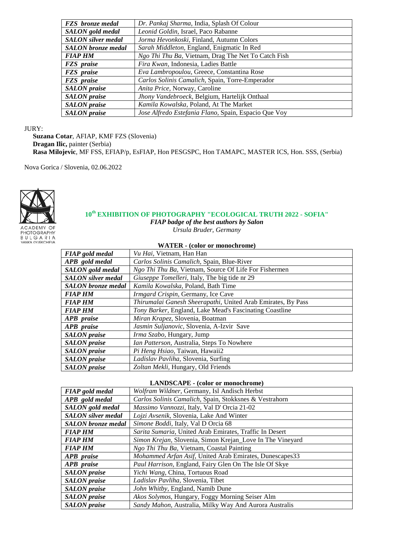| <b>FZS</b> bronze medal   | Dr. Pankaj Sharma, India, Splash Of Colour           |
|---------------------------|------------------------------------------------------|
| SALON gold medal          | Leonid Goldin, Israel, Paco Rabanne                  |
| <b>SALON</b> silver medal | Jorma Hevonkoski, Finland, Autumn Colors             |
| <b>SALON</b> bronze medal | Sarah Middleton, England, Enigmatic In Red           |
| <b>FIAP HM</b>            | Ngo Thi Thu Ba, Vietnam, Drag The Net To Catch Fish  |
| <b>FZS</b> praise         | Fira Kwan, Indonesia, Ladies Battle                  |
| FZS praise                | Eva Lambropoulou, Greece, Constantina Rose           |
| <b>FZS</b> praise         | Carlos Solinis Camalich, Spain, Torre-Emperador      |
| <b>SALON</b> praise       | Anita Price, Norway, Caroline                        |
| <b>SALON</b> praise       | Jhony Vandebroeck, Belgium, Hartelijk Onthaal        |
| <b>SALON</b> praise       | Kamila Kowalska, Poland, At The Market               |
| <b>SALON</b> praise       | Jose Alfredo Estefania Flano, Spain, Espacio Que Voy |

### JURY:

 **Suzana Cotar**, AFIAP, KMF FZS (Slovenia) **Dragan Ilic,** painter (Serbia) **Rasa Milojevic**, MF FSS, EFIAP/p, EsFIAP, Hon PESGSPC, Hon TAMAPC, MASTER ICS, Hon. SSS, (Serbia)

Nova Gorica / Slovenia, 02.06.2022



# **10th EXHIBITION OF PHOTOGRAPHY "ECOLOGICAL TRUTH 2022 - SOFIA"**

*FIAP badge of the best authors by Salon*

*Ursula Bruder, Germany*

|  |  | <b>WATER - (color or monochrome)</b> |
|--|--|--------------------------------------|
|--|--|--------------------------------------|

| <b>FIAP</b> gold medal    | Vu Hai, Vietnam, Han Han                                     |
|---------------------------|--------------------------------------------------------------|
| APB gold medal            | Carlos Solinis Camalich, Spain, Blue-River                   |
| <b>SALON</b> gold medal   | Ngo Thi Thu Ba, Vietnam, Source Of Life For Fishermen        |
| <b>SALON</b> silver medal | Giuseppe Tomelleri, Italy, The big tide nr 29                |
| <b>SALON</b> bronze medal | Kamila Kowalska, Poland, Bath Time                           |
| <b>FIAP HM</b>            | Irmgard Crispin, Germany, Ice Cave                           |
| <b>FIAP HM</b>            | Thirumalai Ganesh Sheerapathi, United Arab Emirates, By Pass |
| <b>FIAP HM</b>            | Tony Barker, England, Lake Mead's Fascinating Coastline      |
| APB praise                | Miran Krapez, Slovenia, Boatman                              |
| APB praise                | Jasmin Suljanovic, Slovenia, A-Izvir Save                    |
| <b>SALON</b> praise       | <i>Irma Szabo</i> , Hungary, Jump                            |
| <b>SALON</b> praise       | Ian Patterson, Australia, Steps To Nowhere                   |
| <b>SALON</b> praise       | Pi Heng Hsiao, Taiwan, Hawaii2                               |
| <b>SALON</b> praise       | Ladislav Pavliha, Slovenia, Surfing                          |
| <b>SALON</b> praise       | Zoltan Mekli, Hungary, Old Friends                           |

#### **LANDSCAPE - (color or monochrome)**

| <b>FIAP</b> gold medal    | Wolfram Wildner, Germany, Isl Andisch Herbst                     |
|---------------------------|------------------------------------------------------------------|
| APB gold medal            | Carlos Solinis Camalich, Spain, Stokksnes & Vestrahorn           |
| SALON gold medal          | Massimo Vannozzi, Italy, Val D' Orcia 21-02                      |
| <b>SALON</b> silver medal | Lojzi Avsenik, Slovenia, Lake And Winter                         |
| <b>SALON</b> bronze medal | Simone Boddi, Italy, Val D Orcia 68                              |
| <b>FIAP HM</b>            | Sarita Sumaria, United Arab Emirates, Traffic In Desert          |
| <b>FIAP HM</b>            | <i>Simon Krejan, Slovenia, Simon Krejan_Love In The Vineyard</i> |
| <b>FIAP HM</b>            | Ngo Thi Thu Ba, Vietnam, Coastal Painting                        |
| APB praise                | Mohammed Arfan Asif, United Arab Emirates, Dunescapes33          |
| APB praise                | Paul Harrison, England, Fairy Glen On The Isle Of Skye           |
| <b>SALON</b> praise       | Yichi Wang, China, Tortuous Road                                 |
| <b>SALON</b> praise       | <i>Ladislav Pavliha, Slovenia, Tibet</i>                         |
| <b>SALON</b> praise       | <i>John Whitby, England, Namib Dune</i>                          |
| <b>SALON</b> praise       | Akos Solymos, Hungary, Foggy Morning Seiser Alm                  |
| <b>SALON</b> praise       | Sandy Mahon, Australia, Milky Way And Aurora Australis           |